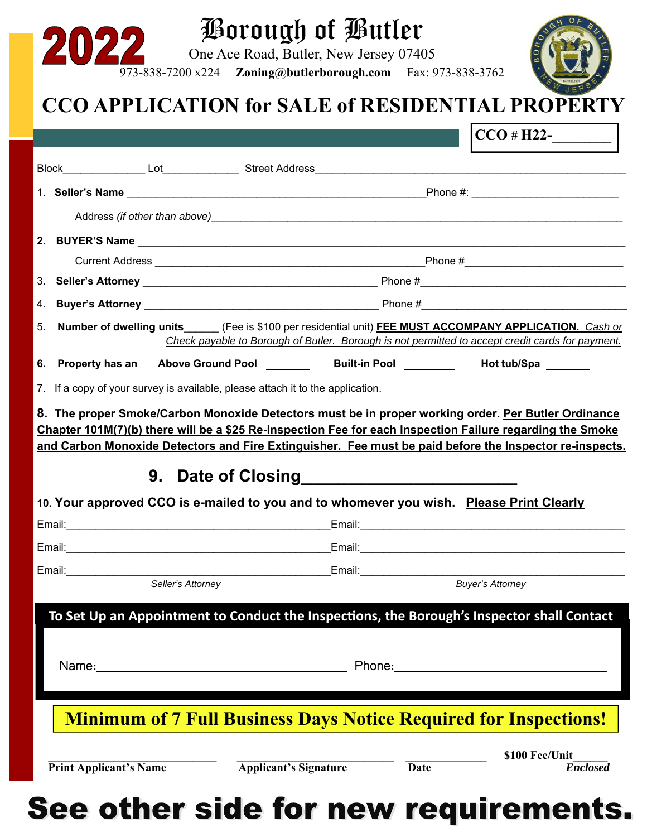| 2022                                                                                                                                                                                                                 |                                                                        | Borough of Butler<br>One Ace Road, Butler, New Jersey 07405<br>973-838-7200 x224 Zoning@butlerborough.com Fax: 973-838-3762 |                                   |
|----------------------------------------------------------------------------------------------------------------------------------------------------------------------------------------------------------------------|------------------------------------------------------------------------|-----------------------------------------------------------------------------------------------------------------------------|-----------------------------------|
|                                                                                                                                                                                                                      |                                                                        | CCO APPLICATION for SALE of RESIDENTIAL PROPERTY                                                                            | $ CCO # H22-$                     |
|                                                                                                                                                                                                                      |                                                                        |                                                                                                                             |                                   |
|                                                                                                                                                                                                                      |                                                                        |                                                                                                                             |                                   |
|                                                                                                                                                                                                                      |                                                                        |                                                                                                                             |                                   |
| Address (if other than above) Manual Contract Contract of the Address (if other than above)                                                                                                                          |                                                                        |                                                                                                                             |                                   |
|                                                                                                                                                                                                                      |                                                                        |                                                                                                                             |                                   |
|                                                                                                                                                                                                                      |                                                                        |                                                                                                                             |                                   |
|                                                                                                                                                                                                                      |                                                                        |                                                                                                                             |                                   |
| 4.                                                                                                                                                                                                                   |                                                                        |                                                                                                                             |                                   |
| Number of dwelling units (Fee is \$100 per residential unit) FEE MUST ACCOMPANY APPLICATION. Cash or<br>5.<br>Check payable to Borough of Butler. Borough is not permitted to accept credit cards for payment.       |                                                                        |                                                                                                                             |                                   |
| 6. Property has an                                                                                                                                                                                                   |                                                                        |                                                                                                                             | Hot tub/Spa ________              |
| 7. If a copy of your survey is available, please attach it to the application.                                                                                                                                       |                                                                        |                                                                                                                             |                                   |
| 8. The proper Smoke/Carbon Monoxide Detectors must be in proper working order. Per Butler Ordinance                                                                                                                  |                                                                        |                                                                                                                             |                                   |
| Chapter 101M(7)(b) there will be a \$25 Re-Inspection Fee for each Inspection Failure regarding the Smoke<br>and Carbon Monoxide Detectors and Fire Extinguisher. Fee must be paid before the Inspector re-inspects. |                                                                        |                                                                                                                             |                                   |
|                                                                                                                                                                                                                      |                                                                        |                                                                                                                             |                                   |
| 9. Date of Closing                                                                                                                                                                                                   |                                                                        |                                                                                                                             |                                   |
| 10. Your approved CCO is e-mailed to you and to whomever you wish. Please Print Clearly                                                                                                                              |                                                                        |                                                                                                                             |                                   |
|                                                                                                                                                                                                                      |                                                                        |                                                                                                                             |                                   |
|                                                                                                                                                                                                                      |                                                                        |                                                                                                                             |                                   |
|                                                                                                                                                                                                                      | Seller's Attorney                                                      | Email: 2008. 2009. 2009. 2009. 2010. 2010. 2010. 2010. 2010. 2010. 2010. 2010. 2010. 2010. 2010. 2010. 2010. 20             | <b>Buyer's Attorney</b>           |
|                                                                                                                                                                                                                      |                                                                        |                                                                                                                             |                                   |
|                                                                                                                                                                                                                      |                                                                        | To Set Up an Appointment to Conduct the Inspections, the Borough's Inspector shall Contact                                  |                                   |
|                                                                                                                                                                                                                      |                                                                        |                                                                                                                             |                                   |
|                                                                                                                                                                                                                      |                                                                        |                                                                                                                             |                                   |
|                                                                                                                                                                                                                      |                                                                        |                                                                                                                             |                                   |
| <b>Minimum of 7 Full Business Days Notice Required for Inspections!</b>                                                                                                                                              |                                                                        |                                                                                                                             |                                   |
|                                                                                                                                                                                                                      | <b>Print Applicant's Name</b><br>and the company of the company of the | <b>Applicant's Signature</b><br><b>Date</b><br>きょせん こうぞくしょう                                                                 | \$100 Fee/Unit<br><b>Enclosed</b> |

See other side for new requirements.